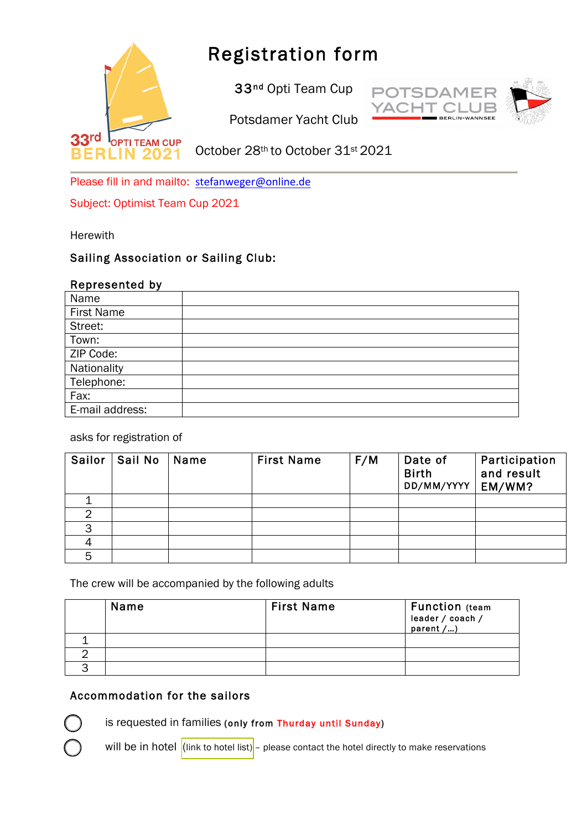

# Registration form

33<sup>nd</sup> Opti Team Cup



Potsdamer Yacht Club

October 28th to October 31st 2021

Please fill in and mailto: stefanweger@online.de

Subject: Optimist Team Cup 2021

**Herewith** 

## Sailing Association or Sailing Club:

#### Represented by

| Name              |  |
|-------------------|--|
| <b>First Name</b> |  |
| Street:           |  |
| Town:             |  |
| ZIP Code:         |  |
| Nationality       |  |
| Telephone:        |  |
| Fax:              |  |
| E-mail address:   |  |

asks for registration of

| Sailor | Sail No | Name | <b>First Name</b> | F/M | Date of<br><b>Birth</b><br>DD/MM/YYYY | Participation<br>and result<br>EM/WM? |
|--------|---------|------|-------------------|-----|---------------------------------------|---------------------------------------|
|        |         |      |                   |     |                                       |                                       |
|        |         |      |                   |     |                                       |                                       |
| っ      |         |      |                   |     |                                       |                                       |
|        |         |      |                   |     |                                       |                                       |
| 5      |         |      |                   |     |                                       |                                       |

The crew will be accompanied by the following adults

| Name | <b>First Name</b> | <b>Function</b> (team<br>leader / coach /<br>parent $\overline{/}$ ) |
|------|-------------------|----------------------------------------------------------------------|
|      |                   |                                                                      |
|      |                   |                                                                      |
|      |                   |                                                                      |

## Accommodation for the sailors

is requested in families (only from Thurday until Sunday)

will be in hotel [\(link to hotel list\)](https://www.google.com/maps/search/Hotels/@52.4182129,13.1497713,13z/data=!4m11!2m10!3m6!1sHotels!2sPotsdamer+Yacht+Club+e.V.,+K+nigstra+e+3A,+14109+Berlin!3s0x47a858e1a83b2c01:0xc6fcec13edde81d3!4m2!1d13.1699359!2d52.4211301!5m2!5m1!1s2020-01-03) - please contact the hotel directly to make reservations